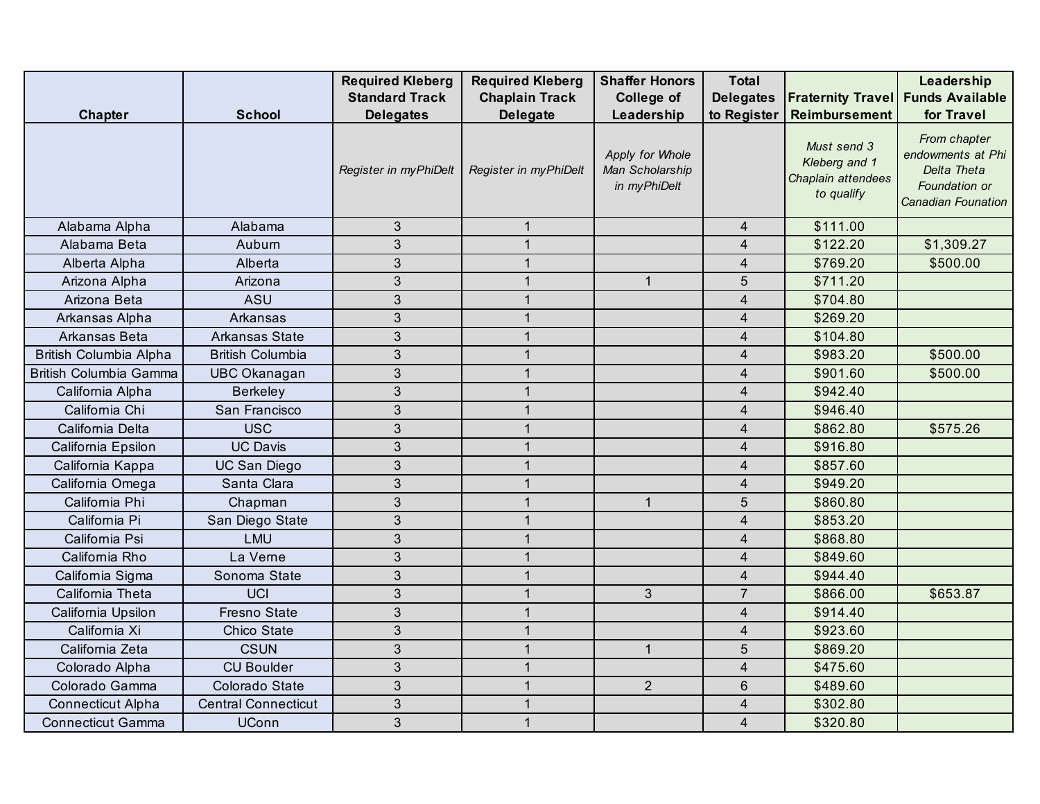|                          |                            | <b>Required Kleberg</b> | <b>Required Kleberg</b> | <b>Shaffer Honors</b>                              | <b>Total</b>             |                                                                  | Leadership                                                                              |
|--------------------------|----------------------------|-------------------------|-------------------------|----------------------------------------------------|--------------------------|------------------------------------------------------------------|-----------------------------------------------------------------------------------------|
|                          |                            | <b>Standard Track</b>   | <b>Chaplain Track</b>   | College of                                         | <b>Delegates</b>         | <b>Fraternity Travel Funds Available</b>                         |                                                                                         |
| <b>Chapter</b>           | <b>School</b>              | <b>Delegates</b>        | <b>Delegate</b>         | Leadership                                         | to Register              | Reimbursement                                                    | for Travel                                                                              |
|                          |                            | Register in myPhiDelt   | Register in myPhiDelt   | Apply for Whole<br>Man Scholarship<br>in myPhiDelt |                          | Must send 3<br>Kleberg and 1<br>Chaplain attendees<br>to qualify | From chapter<br>endowments at Phi<br>Delta Theta<br>Foundation or<br>Canadian Founation |
| Alabama Alpha            | Alabama                    | $\mathfrak{Z}$          | $\mathbf{1}$            |                                                    | $\overline{4}$           | \$111.00                                                         |                                                                                         |
| Alabama Beta             | Aubum                      | $\mathfrak{S}$          | $\mathbf{1}$            |                                                    | $\overline{4}$           | \$122.20                                                         | \$1,309.27                                                                              |
| Alberta Alpha            | Alberta                    | $\mathfrak{S}$          | $\mathbf{1}$            |                                                    | $\overline{4}$           | \$769.20                                                         | \$500.00                                                                                |
| Arizona Alpha            | Arizona                    | $\mathfrak{Z}$          | $\mathbf{1}$            | $\mathbf{1}$                                       | 5                        | \$711.20                                                         |                                                                                         |
| Arizona Beta             | ASU                        | $\mathfrak{S}$          | $\mathbf{1}$            |                                                    | $\overline{4}$           | \$704.80                                                         |                                                                                         |
| Arkansas Alpha           | Arkansas                   | $\mathfrak{3}$          | $\mathbf{1}$            |                                                    | $\overline{\mathbf{4}}$  | \$269.20                                                         |                                                                                         |
| Arkansas Beta            | Arkansas State             | $\mathfrak{S}$          | $\mathbf{1}$            |                                                    | $\overline{4}$           | \$104.80                                                         |                                                                                         |
| British Columbia Alpha   | <b>British Columbia</b>    | $\mathfrak{S}$          | $\mathbf{1}$            |                                                    | $\overline{4}$           | \$983.20                                                         | \$500.00                                                                                |
| British Columbia Gamma   | <b>UBC Okanagan</b>        | $\mathfrak{S}$          | $\mathbf{1}$            |                                                    | $\overline{\mathbf{4}}$  | \$901.60                                                         | \$500.00                                                                                |
| California Alpha         | <b>Berkeley</b>            | $\mathfrak{S}$          | $\mathbf{1}$            |                                                    | $\overline{4}$           | \$942.40                                                         |                                                                                         |
| California Chi           | San Francisco              | $\mathfrak{Z}$          | $\mathbf{1}$            |                                                    | 4                        | \$946.40                                                         |                                                                                         |
| California Delta         | <b>USC</b>                 | $\mathfrak{S}$          | $\mathbf{1}$            |                                                    | $\overline{4}$           | \$862.80                                                         | \$575.26                                                                                |
| California Epsilon       | <b>UC Davis</b>            | 3                       | $\mathbf{1}$            |                                                    | $\overline{\mathcal{L}}$ | \$916.80                                                         |                                                                                         |
| California Kappa         | <b>UC San Diego</b>        | $\mathfrak{Z}$          | $\mathbf{1}$            |                                                    | $\overline{4}$           | \$857.60                                                         |                                                                                         |
| California Omega         | Santa Clara                | 3                       | $\mathbf{1}$            |                                                    | 4                        | \$949.20                                                         |                                                                                         |
| California Phi           | Chapman                    | $\mathfrak{S}$          | $\mathbf{1}$            | $\mathbf{1}$                                       | 5                        | \$860.80                                                         |                                                                                         |
| California Pi            | San Diego State            | $\mathfrak{S}$          | $\mathbf{1}$            |                                                    | $\overline{4}$           | \$853.20                                                         |                                                                                         |
| California Psi           | <b>LMU</b>                 | $\mathfrak{Z}$          | $\mathbf{1}$            |                                                    | $\overline{4}$           | \$868.80                                                         |                                                                                         |
| California Rho           | La Verne                   | $\mathfrak{S}$          | $\mathbf{1}$            |                                                    | $\overline{4}$           | \$849.60                                                         |                                                                                         |
| California Sigma         | Sonoma State               | $\mathfrak{S}$          | $\mathbf{1}$            |                                                    | $\overline{4}$           | \$944.40                                                         |                                                                                         |
| California Theta         | <b>UCI</b>                 | $\mathfrak{S}$          | $\mathbf{1}$            | $\mathbf{3}$                                       | $\overline{7}$           | \$866.00                                                         | \$653.87                                                                                |
| California Upsilon       | <b>Fresno State</b>        | $\mathfrak{S}$          | $\mathbf{1}$            |                                                    | $\overline{\mathbf{4}}$  | \$914.40                                                         |                                                                                         |
| California Xi            | Chico State                | $\mathfrak{S}$          | $\mathbf{1}$            |                                                    | 4                        | \$923.60                                                         |                                                                                         |
| California Zeta          | <b>CSUN</b>                | $\mathfrak{Z}$          | $\mathbf{1}$            | $\mathbf{1}$                                       | 5                        | \$869.20                                                         |                                                                                         |
| Colorado Alpha           | <b>CU Boulder</b>          | $\mathfrak{S}$          | $\mathbf{1}$            |                                                    | $\overline{4}$           | \$475.60                                                         |                                                                                         |
| Colorado Gamma           | Colorado State             | 3                       | $\mathbf{1}$            | $\overline{2}$                                     | 6                        | \$489.60                                                         |                                                                                         |
| <b>Connecticut Alpha</b> | <b>Central Connecticut</b> | 3                       | $\mathbf{1}$            |                                                    | $\overline{4}$           | \$302.80                                                         |                                                                                         |
| <b>Connecticut Gamma</b> | <b>UConn</b>               | 3                       | $\mathbf{1}$            |                                                    | $\overline{4}$           | \$320.80                                                         |                                                                                         |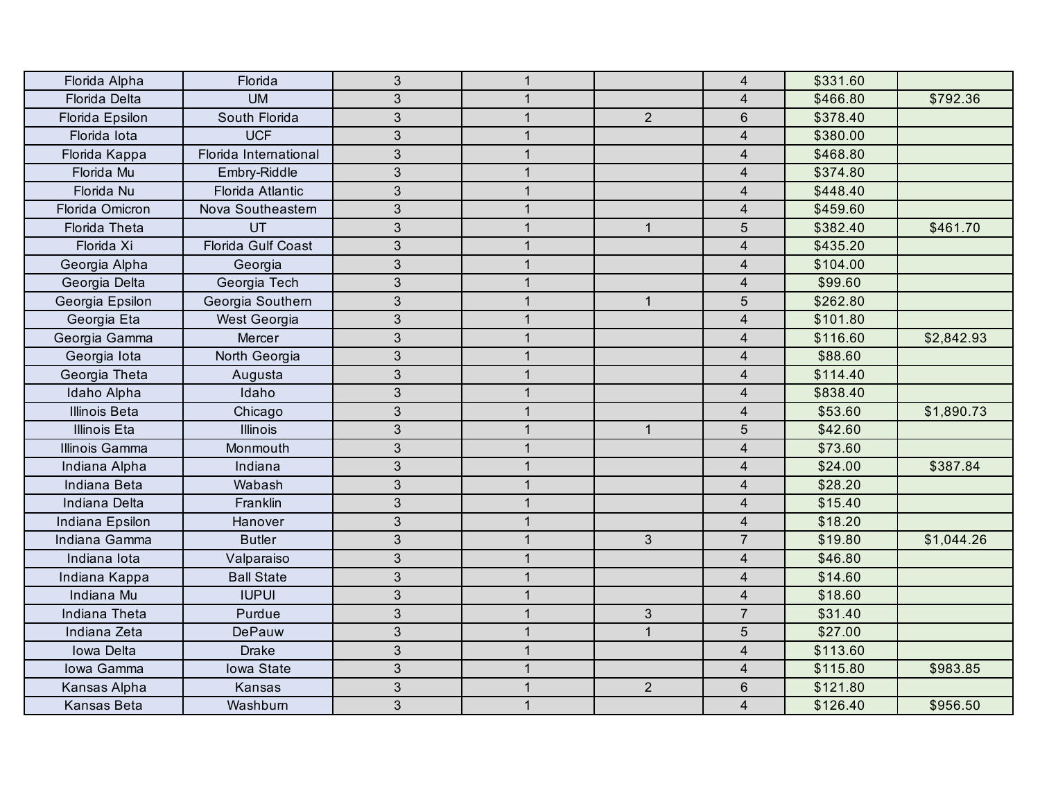| Florida Alpha        | Florida                   | $\mathbf{3}$   | $\mathbf{1}$ |                | $\overline{4}$          | \$331.60 |            |
|----------------------|---------------------------|----------------|--------------|----------------|-------------------------|----------|------------|
| Florida Delta        | <b>UM</b>                 | 3              | 1            |                | 4                       | \$466.80 | \$792.36   |
| Florida Epsilon      | South Florida             | 3              | $\mathbf{1}$ | $\overline{2}$ | $6\phantom{1}$          | \$378.40 |            |
| Florida lota         | <b>UCF</b>                | 3              | $\mathbf{1}$ |                | $\overline{4}$          | \$380.00 |            |
| Florida Kappa        | Florida International     | $\overline{3}$ | $\mathbf{1}$ |                | $\overline{4}$          | \$468.80 |            |
| Florida Mu           | Embry-Riddle              | $\mathfrak{S}$ | $\mathbf{1}$ |                | $\overline{4}$          | \$374.80 |            |
| Florida Nu           | Florida Atlantic          | $\mathfrak{S}$ | $\mathbf{1}$ |                | $\overline{4}$          | \$448.40 |            |
| Florida Omicron      | Nova Southeastern         | $\mathfrak{S}$ | $\mathbf{1}$ |                | $\overline{4}$          | \$459.60 |            |
| Florida Theta        | UT                        | $\overline{3}$ | $\mathbf{1}$ | $\mathbf{1}$   | $\overline{5}$          | \$382.40 | \$461.70   |
| Florida Xi           | <b>Florida Gulf Coast</b> | $\mathfrak{S}$ | $\mathbf{1}$ |                | 4                       | \$435.20 |            |
| Georgia Alpha        | Georgia                   | 3              | $\mathbf{1}$ |                | $\overline{4}$          | \$104.00 |            |
| Georgia Delta        | Georgia Tech              | 3              | $\mathbf{1}$ |                | $\overline{4}$          | \$99.60  |            |
| Georgia Epsilon      | Georgia Southern          | 3              | $\mathbf{1}$ | $\mathbf{1}$   | 5                       | \$262.80 |            |
| Georgia Eta          | <b>West Georgia</b>       | $\mathfrak{S}$ | $\mathbf{1}$ |                | $\overline{4}$          | \$101.80 |            |
| Georgia Gamma        | Mercer                    | $\overline{3}$ | $\mathbf{1}$ |                | $\overline{4}$          | \$116.60 | \$2,842.93 |
| Georgia lota         | North Georgia             | $\overline{3}$ | $\mathbf{1}$ |                | $\overline{4}$          | \$88.60  |            |
| Georgia Theta        | Augusta                   | 3              | $\mathbf 1$  |                | 4                       | \$114.40 |            |
| Idaho Alpha          | Idaho                     | 3              | $\mathbf{1}$ |                | $\overline{4}$          | \$838.40 |            |
| <b>Illinois Beta</b> | Chicago                   | 3              | $\mathbf{1}$ |                | $\overline{4}$          | \$53.60  | \$1,890.73 |
| <b>Illinois Eta</b>  | <b>Illinois</b>           | $\mathfrak{S}$ | $\mathbf{1}$ | $\overline{1}$ | $\overline{5}$          | \$42.60  |            |
| Illinois Gamma       | Monmouth                  | $\mathfrak{S}$ | $\mathbf{1}$ |                | $\overline{4}$          | \$73.60  |            |
| Indiana Alpha        | Indiana                   | 3              | $\mathbf{1}$ |                | $\overline{4}$          | \$24.00  | \$387.84   |
| Indiana Beta         | Wabash                    | $\mathfrak{S}$ | $\mathbf{1}$ |                | $\overline{4}$          | \$28.20  |            |
| Indiana Delta        | Franklin                  | $\mathfrak{S}$ | $\mathbf{1}$ |                | $\overline{4}$          | \$15.40  |            |
| Indiana Epsilon      | Hanover                   | $\sqrt{3}$     | $\mathbf{1}$ |                | $\overline{\mathbf{4}}$ | \$18.20  |            |
| Indiana Gamma        | <b>Butler</b>             | 3              | $\mathbf{1}$ | $\mathbf{3}$   | $\overline{7}$          | \$19.80  | \$1,044.26 |
| Indiana lota         | Valparaiso                | 3              | $\mathbf{1}$ |                | $\overline{4}$          | \$46.80  |            |
| Indiana Kappa        | <b>Ball State</b>         | $\mathfrak{S}$ | $\mathbf{1}$ |                | $\overline{4}$          | \$14.60  |            |
| Indiana Mu           | <b>IUPUI</b>              | $\mathfrak{B}$ | $\mathbf{1}$ |                | $\overline{4}$          | \$18.60  |            |
| Indiana Theta        | Purdue                    | $\overline{3}$ | $\mathbf{1}$ | $\mathfrak{S}$ | $\overline{7}$          | \$31.40  |            |
| Indiana Zeta         | DePauw                    | $\mathfrak{S}$ | $\mathbf{1}$ | $\mathbf{1}$   | $\overline{5}$          | \$27.00  |            |
| Iowa Delta           | <b>Drake</b>              | 3              | $\mathbf{1}$ |                | $\overline{4}$          | \$113.60 |            |
| Iowa Gamma           | Iowa State                | $\mathfrak{S}$ | $\mathbf{1}$ |                | $\overline{4}$          | \$115.80 | \$983.85   |
| Kansas Alpha         | Kansas                    | 3              | $\mathbf{1}$ | $\overline{2}$ | $6\phantom{1}$          | \$121.80 |            |
| Kansas Beta          | Washburn                  | 3              | $\mathbf{1}$ |                | $\overline{4}$          | \$126.40 | \$956.50   |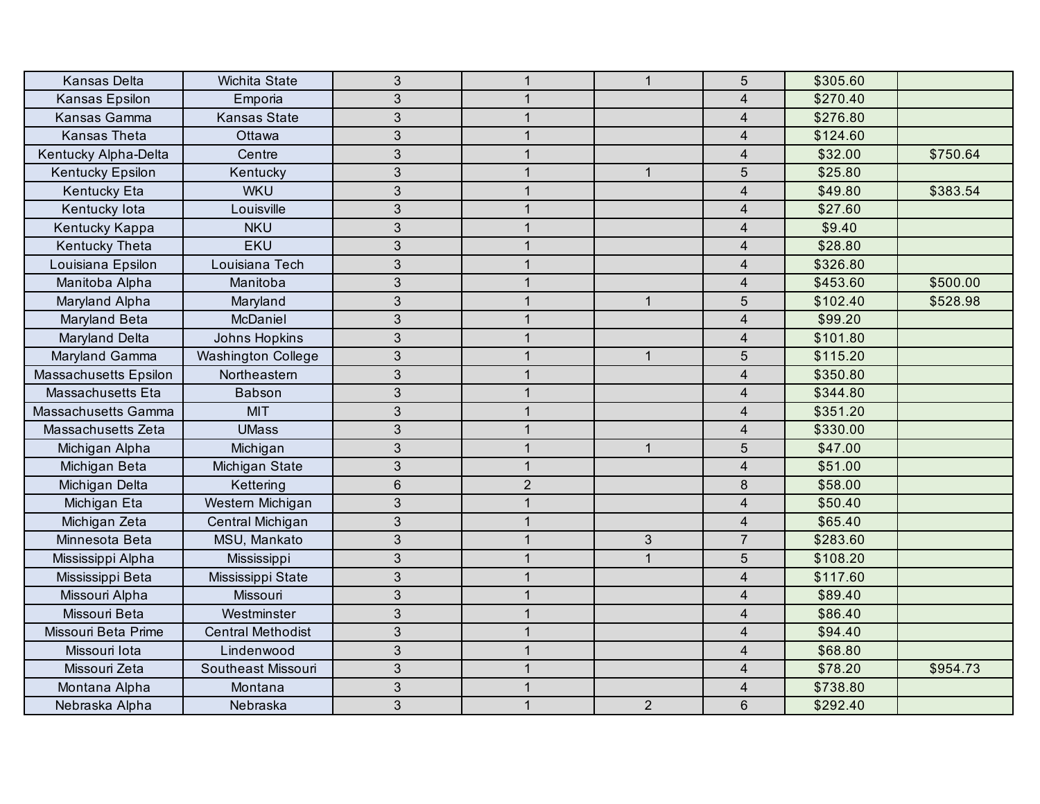| <b>Kansas Delta</b>          | Wichita State             | $\mathfrak{S}$ | $\mathbf{1}$ | $\mathbf{1}$   | 5                       | \$305.60 |          |
|------------------------------|---------------------------|----------------|--------------|----------------|-------------------------|----------|----------|
| Kansas Epsilon               | Emporia                   | $\mathfrak{B}$ | $\mathbf{1}$ |                | $\overline{4}$          | \$270.40 |          |
| Kansas Gamma                 | <b>Kansas State</b>       | $\mathfrak{B}$ | $\mathbf{1}$ |                | $\overline{\mathbf{4}}$ | \$276.80 |          |
| <b>Kansas Theta</b>          | Ottawa                    | 3              | $\mathbf{1}$ |                | $\overline{4}$          | \$124.60 |          |
| Kentucky Alpha-Delta         | Centre                    | 3              | $\mathbf{1}$ |                | $\overline{4}$          | \$32.00  | \$750.64 |
| Kentucky Epsilon             | Kentucky                  | 3              | $\mathbf{1}$ | $\mathbf{1}$   | 5                       | \$25.80  |          |
| Kentucky Eta                 | <b>WKU</b>                | 3              | $\mathbf{1}$ |                | $\overline{4}$          | \$49.80  | \$383.54 |
| Kentucky lota                | Louisville                | $\overline{3}$ | $\mathbf{1}$ |                | $\overline{4}$          | \$27.60  |          |
| Kentucky Kappa               | <b>NKU</b>                | $\mathfrak{S}$ | $\mathbf{1}$ |                | $\overline{4}$          | \$9.40   |          |
| <b>Kentucky Theta</b>        | <b>EKU</b>                | $\mathfrak{S}$ | $\mathbf{1}$ |                | 4                       | \$28.80  |          |
| Louisiana Epsilon            | Louisiana Tech            | 3              | $\mathbf{1}$ |                | $\overline{4}$          | \$326.80 |          |
| Manitoba Alpha               | Manitoba                  | $\mathfrak{S}$ | $\mathbf{1}$ |                | $\overline{4}$          | \$453.60 | \$500.00 |
| Maryland Alpha               | Maryland                  | 3              | $\mathbf{1}$ | $\mathbf{1}$   | 5                       | \$102.40 | \$528.98 |
| Maryland Beta                | McDaniel                  | 3              | $\mathbf{1}$ |                | $\overline{4}$          | \$99.20  |          |
| Maryland Delta               | Johns Hopkins             | $\mathfrak{S}$ | $\mathbf{1}$ |                | $\overline{4}$          | \$101.80 |          |
| Maryland Gamma               | <b>Washington College</b> | $\mathfrak{S}$ | $\mathbf{1}$ | $\mathbf{1}$   | $5\phantom{.0}$         | \$115.20 |          |
| <b>Massachusetts Epsilon</b> | Northeastern              | $\mathbf{3}$   | $\mathbf{1}$ |                | $\overline{4}$          | \$350.80 |          |
| Massachusetts Eta            | Babson                    | $\mathfrak{B}$ | $\mathbf{1}$ |                | $\overline{4}$          | \$344.80 |          |
| Massachusetts Gamma          | <b>MIT</b>                | 3              | $\mathbf{1}$ |                | $\overline{4}$          | \$351.20 |          |
| Massachusetts Zeta           | <b>UMass</b>              | 3              | $\mathbf{1}$ |                | $\overline{4}$          | \$330.00 |          |
| Michigan Alpha               | Michigan                  | $\mathfrak{B}$ | $\mathbf{1}$ | $\mathbf{1}$   | 5                       | \$47.00  |          |
| Michigan Beta                | Michigan State            | $\mathfrak{S}$ | $\mathbf{1}$ |                | $\overline{\mathbf{4}}$ | \$51.00  |          |
| Michigan Delta               | Kettering                 | $\,6\,$        | $\mathbf{2}$ |                | $\,8\,$                 | \$58.00  |          |
| Michigan Eta                 | Western Michigan          | $\mathfrak{S}$ | $\mathbf{1}$ |                | $\overline{4}$          | \$50.40  |          |
| Michigan Zeta                | Central Michigan          | $\mathfrak{B}$ | $\mathbf{1}$ |                | $\overline{4}$          | \$65.40  |          |
| Minnesota Beta               | MSU, Mankato              | 3              | $\mathbf{1}$ | $\mathfrak{S}$ | $\overline{7}$          | \$283.60 |          |
| Mississippi Alpha            | Mississippi               | $\sqrt{3}$     | $\mathbf{1}$ | $\mathbf{1}$   | 5                       | \$108.20 |          |
| Mississippi Beta             | Mississippi State         | 3              | $\mathbf{1}$ |                | $\overline{4}$          | \$117.60 |          |
| Missouri Alpha               | Missouri                  | 3              | $\mathbf{1}$ |                | $\overline{4}$          | \$89.40  |          |
| Missouri Beta                | Westminster               | $\mathfrak{S}$ | $\mathbf{1}$ |                | $\overline{4}$          | \$86.40  |          |
| Missouri Beta Prime          | <b>Central Methodist</b>  | $\mathfrak{S}$ | $\mathbf{1}$ |                | $\overline{4}$          | \$94.40  |          |
| Missouri lota                | Lindenwood                | 3              | $\mathbf{1}$ |                | $\overline{4}$          | \$68.80  |          |
| Missouri Zeta                | Southeast Missouri        | $\mathfrak{S}$ | $\mathbf{1}$ |                | $\overline{4}$          | \$78.20  | \$954.73 |
| Montana Alpha                | Montana                   | 3              | $\mathbf{1}$ |                | 4                       | \$738.80 |          |
| Nebraska Alpha               | Nebraska                  | 3              | $\mathbf{1}$ | $\overline{2}$ | $6\phantom{1}$          | \$292.40 |          |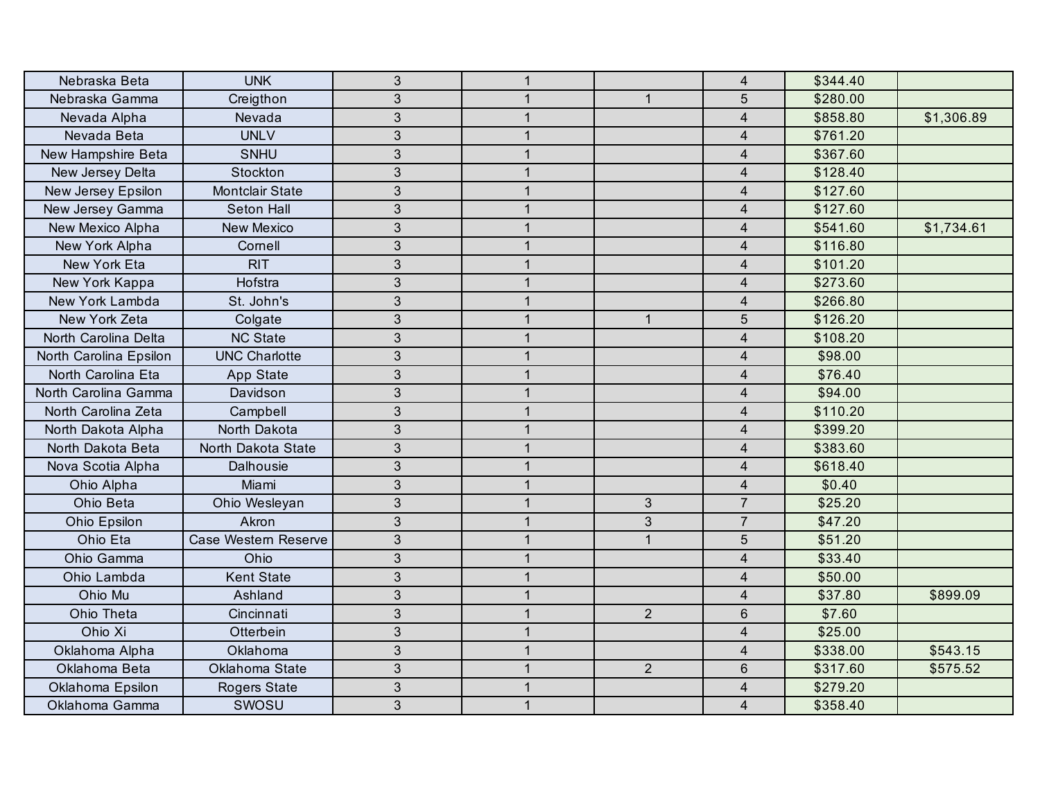| Nebraska Beta          | <b>UNK</b>             | $\overline{3}$ | $\mathbf{1}$ |                | $\overline{4}$          | \$344.40 |            |
|------------------------|------------------------|----------------|--------------|----------------|-------------------------|----------|------------|
| Nebraska Gamma         | Creigthon              | $\mathfrak{S}$ | $\mathbf 1$  | $\mathbf{1}$   | 5                       | \$280.00 |            |
| Nevada Alpha           | Nevada                 | 3              | $\mathbf{1}$ |                | $\overline{4}$          | \$858.80 | \$1,306.89 |
| Nevada Beta            | <b>UNLV</b>            | 3              | $\mathbf{1}$ |                | $\overline{4}$          | \$761.20 |            |
| New Hampshire Beta     | SNHU                   | 3              | $\mathbf{1}$ |                | 4                       | \$367.60 |            |
| New Jersey Delta       | Stockton               | 3              | $\mathbf{1}$ |                | $\overline{4}$          | \$128.40 |            |
| New Jersey Epsilon     | <b>Montclair State</b> | $\overline{3}$ | $\mathbf{1}$ |                | $\overline{4}$          | \$127.60 |            |
| New Jersey Gamma       | Seton Hall             | $\mathfrak{S}$ | $\mathbf{1}$ |                | $\overline{4}$          | \$127.60 |            |
| New Mexico Alpha       | <b>New Mexico</b>      | $\mathfrak{S}$ | $\mathbf{1}$ |                | $\overline{4}$          | \$541.60 | \$1,734.61 |
| New York Alpha         | Cornell                | $\mathfrak{S}$ | $\mathbf{1}$ |                | 4                       | \$116.80 |            |
| New York Eta           | <b>RIT</b>             | 3              | $\mathbf{1}$ |                | $\overline{4}$          | \$101.20 |            |
| New York Kappa         | Hofstra                | 3              | $\mathbf{1}$ |                | $\overline{4}$          | \$273.60 |            |
| New York Lambda        | St. John's             | 3              | $\mathbf{1}$ |                | $\overline{4}$          | \$266.80 |            |
| New York Zeta          | Colgate                | $\mathfrak{S}$ | $\mathbf{1}$ | $\mathbf{1}$   | 5                       | \$126.20 |            |
| North Carolina Delta   | <b>NC State</b>        | 3              | $\mathbf{1}$ |                | $\overline{4}$          | \$108.20 |            |
| North Carolina Epsilon | <b>UNC Charlotte</b>   | $\mathfrak{S}$ | $\mathbf{1}$ |                | $\overline{4}$          | \$98.00  |            |
| North Carolina Eta     | App State              | $\overline{3}$ | $\mathbf{1}$ |                | 4                       | \$76.40  |            |
| North Carolina Gamma   | Davidson               | $\mathfrak{S}$ | $\mathbf{1}$ |                | $\overline{\mathbf{4}}$ | \$94.00  |            |
| North Carolina Zeta    | Campbell               | 3              | $\mathbf{1}$ |                | $\overline{4}$          | \$110.20 |            |
| North Dakota Alpha     | North Dakota           | 3              | $\mathbf{1}$ |                | 4                       | \$399.20 |            |
| North Dakota Beta      | North Dakota State     | $\mathfrak{S}$ | 1            |                | $\overline{4}$          | \$383.60 |            |
| Nova Scotia Alpha      | Dalhousie              | 3              | $\mathbf{1}$ |                | $\overline{4}$          | \$618.40 |            |
| Ohio Alpha             | Miami                  | $\overline{3}$ | $\mathbf{1}$ |                | $\overline{4}$          | \$0.40   |            |
| Ohio Beta              | Ohio Wesleyan          | $\mathfrak{S}$ | $\mathbf{1}$ | $\mathfrak{S}$ | $\overline{7}$          | \$25.20  |            |
| Ohio Epsilon           | Akron                  | $\mathfrak{S}$ | $\mathbf{1}$ | $\mathfrak{B}$ | $\overline{7}$          | \$47.20  |            |
| Ohio Eta               | Case Western Reserve   | 3              | $\mathbf{1}$ | $\mathbf{1}$   | $\overline{5}$          | \$51.20  |            |
| Ohio Gamma             | Ohio                   | 3              | $\mathbf{1}$ |                | $\overline{4}$          | \$33.40  |            |
| Ohio Lambda            | <b>Kent State</b>      | $\overline{3}$ | $\mathbf{1}$ |                | $\overline{4}$          | \$50.00  |            |
| Ohio Mu                | Ashland                | $\mathfrak{S}$ | $\mathbf{1}$ |                | $\overline{4}$          | \$37.80  | \$899.09   |
| Ohio Theta             | Cincinnati             | 3              | $\mathbf{1}$ | $\overline{2}$ | $6\,$                   | \$7.60   |            |
| Ohio Xi                | Otterbein              | $\mathfrak{S}$ | $\mathbf{1}$ |                | $\overline{4}$          | \$25.00  |            |
| Oklahoma Alpha         | Oklahoma               | $\overline{3}$ | $\mathbf{1}$ |                | $\overline{4}$          | \$338.00 | \$543.15   |
| Oklahoma Beta          | Oklahoma State         | 3              | $\mathbf{1}$ | $\overline{2}$ | $6\phantom{1}$          | \$317.60 | \$575.52   |
| Oklahoma Epsilon       | Rogers State           | 3              | $\mathbf{1}$ |                | $\overline{4}$          | \$279.20 |            |
| Oklahoma Gamma         | SWOSU                  | 3              | $\mathbf{1}$ |                | $\overline{4}$          | \$358.40 |            |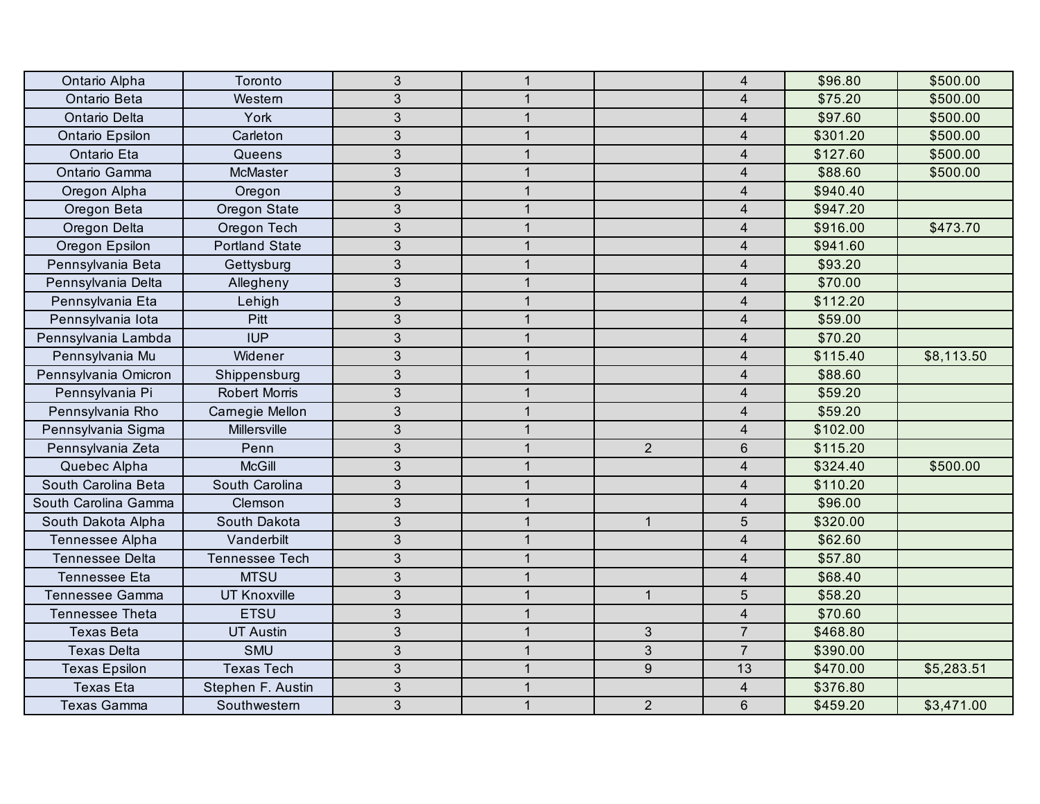| Ontario Alpha          | Toronto               | $\mathfrak{S}$ | $\mathbf{1}$   |                | $\overline{4}$          | \$96.80  | \$500.00   |
|------------------------|-----------------------|----------------|----------------|----------------|-------------------------|----------|------------|
| Ontario Beta           | Western               | $\mathfrak{S}$ | $\mathbf 1$    |                | $\overline{4}$          | \$75.20  | \$500.00   |
| Ontario Delta          | York                  | 3              | $\mathbf{1}$   |                | $\overline{\mathbf{4}}$ | \$97.60  | \$500.00   |
| Ontario Epsilon        | Carleton              | 3              | $\mathbf{1}$   |                | $\overline{4}$          | \$301.20 | \$500.00   |
| Ontario Eta            | Queens                | 3              | $\mathbf{1}$   |                | $\overline{4}$          | \$127.60 | \$500.00   |
| Ontario Gamma          | McMaster              | 3              | $\mathbf{1}$   |                | $\overline{4}$          | \$88.60  | \$500.00   |
| Oregon Alpha           | Oregon                | 3              | $\overline{1}$ |                | $\overline{4}$          | \$940.40 |            |
| Oregon Beta            | Oregon State          | 3              | $\mathbf{1}$   |                | $\overline{4}$          | \$947.20 |            |
| Oregon Delta           | Oregon Tech           | 3              | $\mathbf{1}$   |                | $\overline{\mathbf{4}}$ | \$916.00 | \$473.70   |
| Oregon Epsilon         | <b>Portland State</b> | 3              | $\mathbf{1}$   |                | $\overline{4}$          | \$941.60 |            |
| Pennsylvania Beta      | Gettysburg            | 3              | $\mathbf{1}$   |                | $\overline{4}$          | \$93.20  |            |
| Pennsylvania Delta     | Allegheny             | 3              | $\mathbf{1}$   |                | $\overline{4}$          | \$70.00  |            |
| Pennsylvania Eta       | Lehigh                | 3              | $\mathbf{1}$   |                | $\overline{4}$          | \$112.20 |            |
| Pennsylvania lota      | Pitt                  | $\mathfrak{S}$ | $\mathbf{1}$   |                | $\overline{4}$          | \$59.00  |            |
| Pennsylvania Lambda    | <b>IUP</b>            | 3              | $\mathbf{1}$   |                | $\overline{4}$          | \$70.20  |            |
| Pennsylvania Mu        | Widener               | 3              | $\mathbf 1$    |                | $\overline{\mathbf{4}}$ | \$115.40 | \$8,113.50 |
| Pennsylvania Omicron   | Shippensburg          | $\mathfrak{S}$ | $\mathbf{1}$   |                | $\overline{4}$          | \$88.60  |            |
| Pennsylvania Pi        | <b>Robert Morris</b>  | 3              | $\mathbf{1}$   |                | $\overline{\mathbf{4}}$ | \$59.20  |            |
| Pennsylvania Rho       | Carnegie Mellon       | 3              | $\mathbf{1}$   |                | $\overline{4}$          | \$59.20  |            |
| Pennsylvania Sigma     | <b>Millersville</b>   | 3              | $\mathbf{1}$   |                | $\overline{4}$          | \$102.00 |            |
| Pennsylvania Zeta      | Penn                  | 3              | $\mathbf{1}$   | $\overline{2}$ | 6                       | \$115.20 |            |
| Quebec Alpha           | <b>McGill</b>         | 3              | $\mathbf{1}$   |                | $\overline{4}$          | \$324.40 | \$500.00   |
| South Carolina Beta    | South Carolina        | 3              | $\overline{1}$ |                | $\overline{4}$          | \$110.20 |            |
| South Carolina Gamma   | Clemson               | $\mathfrak{S}$ | $\mathbf{1}$   |                | $\overline{4}$          | \$96.00  |            |
| South Dakota Alpha     | South Dakota          | 3              | $\mathbf{1}$   | $\mathbf{1}$   | $5\phantom{.0}$         | \$320.00 |            |
| Tennessee Alpha        | Vanderbilt            | 3              | $\mathbf{1}$   |                | $\overline{4}$          | \$62.60  |            |
| <b>Tennessee Delta</b> | Tennessee Tech        | $\mathfrak{S}$ | $\mathbf{1}$   |                | $\overline{\mathbf{4}}$ | \$57.80  |            |
| <b>Tennessee Eta</b>   | <b>MTSU</b>           | 3              | $\mathbf{1}$   |                | $\overline{4}$          | \$68.40  |            |
| Tennessee Gamma        | <b>UT Knoxville</b>   | 3              | $\mathbf{1}$   | $\mathbf{1}$   | 5                       | \$58.20  |            |
| Tennessee Theta        | <b>ETSU</b>           | 3              | $\mathbf{1}$   |                | $\overline{4}$          | \$70.60  |            |
| <b>Texas Beta</b>      | <b>UT Austin</b>      | 3              | $\mathbf{1}$   | $\mathfrak{Z}$ | $\overline{7}$          | \$468.80 |            |
| <b>Texas Delta</b>     | <b>SMU</b>            | 3              | $\mathbf 1$    | $\mathfrak{Z}$ | $\overline{7}$          | \$390.00 |            |
| <b>Texas Epsilon</b>   | <b>Texas Tech</b>     | 3              | $\mathbf{1}$   | $\overline{9}$ | 13                      | \$470.00 | \$5,283.51 |
| <b>Texas Eta</b>       | Stephen F. Austin     | $\mathfrak{S}$ | $\mathbf{1}$   |                | $\overline{4}$          | \$376.80 |            |
| <b>Texas Gamma</b>     | Southwestern          | 3              | $\mathbf{1}$   | $\overline{2}$ | $6\phantom{1}6$         | \$459.20 | \$3,471.00 |